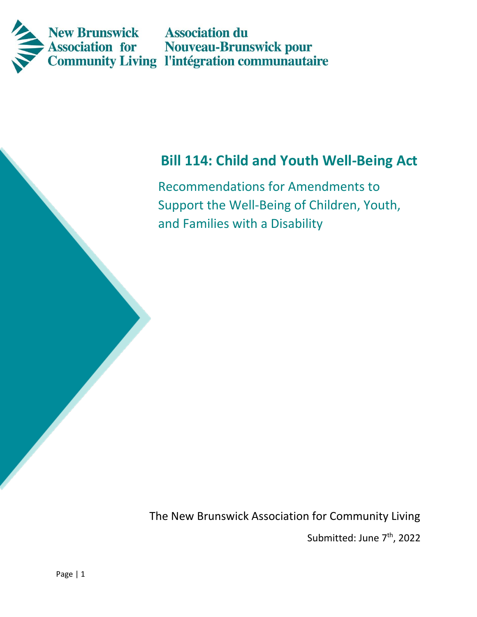

# **Bill 114: Child and Youth Well-Being Act**

Recommendations for Amendments to Support the Well-Being of Children, Youth, and Families with a Disability

The New Brunswick Association for Community Living

Submitted: June 7<sup>th</sup>, 2022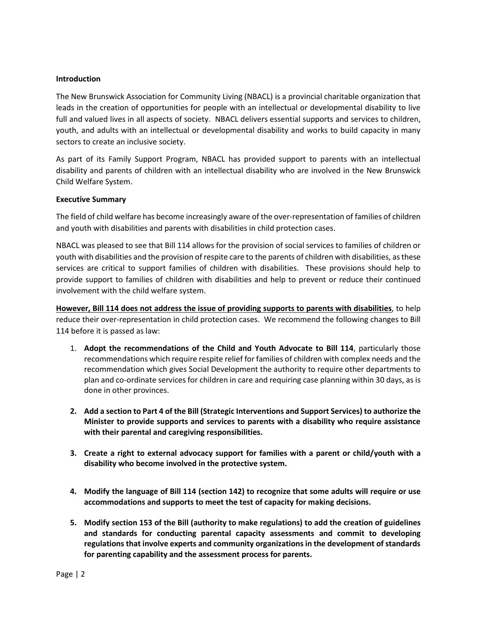#### **Introduction**

The New Brunswick Association for Community Living (NBACL) is a provincial charitable organization that leads in the creation of opportunities for people with an intellectual or developmental disability to live full and valued lives in all aspects of society. NBACL delivers essential supports and services to children, youth, and adults with an intellectual or developmental disability and works to build capacity in many sectors to create an inclusive society.

As part of its Family Support Program, NBACL has provided support to parents with an intellectual disability and parents of children with an intellectual disability who are involved in the New Brunswick Child Welfare System.

#### **Executive Summary**

The field of child welfare has become increasingly aware of the over-representation of families of children and youth with disabilities and parents with disabilities in child protection cases.

NBACL was pleased to see that Bill 114 allows for the provision of social services to families of children or youth with disabilities and the provision of respite care to the parents of children with disabilities, as these services are critical to support families of children with disabilities. These provisions should help to provide support to families of children with disabilities and help to prevent or reduce their continued involvement with the child welfare system.

**However, Bill 114 does not address the issue of providing supports to parents with disabilities**, to help reduce their over-representation in child protection cases. We recommend the following changes to Bill 114 before it is passed as law:

- 1. **Adopt the recommendations of the Child and Youth Advocate to Bill 114**, particularly those recommendations which require respite relief for families of children with complex needs and the recommendation which gives Social Development the authority to require other departments to plan and co-ordinate services for children in care and requiring case planning within 30 days, as is done in other provinces.
- **2. Add a section to Part 4 of the Bill (Strategic Interventions and Support Services) to authorize the Minister to provide supports and services to parents with a disability who require assistance with their parental and caregiving responsibilities.**
- **3. Create a right to external advocacy support for families with a parent or child/youth with a disability who become involved in the protective system.**
- **4. Modify the language of Bill 114 (section 142) to recognize that some adults will require or use accommodations and supports to meet the test of capacity for making decisions.**
- **5. Modify section 153 of the Bill (authority to make regulations) to add the creation of guidelines and standards for conducting parental capacity assessments and commit to developing regulations that involve experts and community organizations in the development of standards for parenting capability and the assessment process for parents.**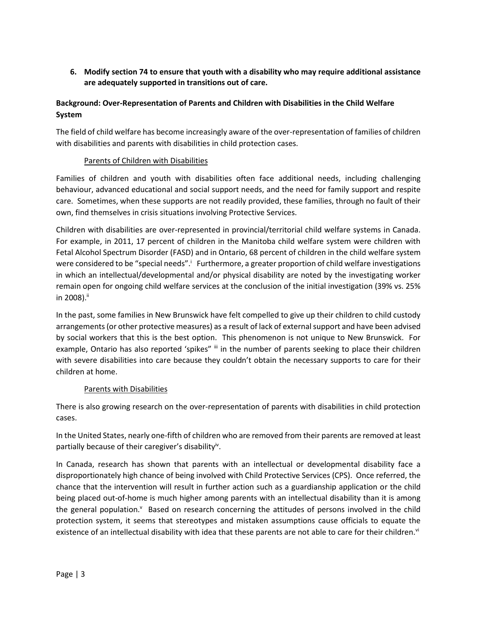**6. Modify section 74 to ensure that youth with a disability who may require additional assistance are adequately supported in transitions out of care.** 

# **Background: Over-Representation of Parents and Children with Disabilities in the Child Welfare System**

The field of child welfare has become increasingly aware of the over-representation of families of children with disabilities and parents with disabilities in child protection cases.

## Parents of Children with Disabilities

Families of children and youth with disabilities often face additional needs, including challenging behaviour, advanced educational and social support needs, and the need for family support and respite care. Sometimes, when these supports are not readily provided, these families, through no fault of their own, find themselves in crisis situations involving Protective Services.

Children with disabilities are over-represented in provincial/territorial child welfare systems in Canada. For example, in 2011, 17 percent of children in the Manitoba child welfare system were children with Fetal Alcohol Spectrum Disorder (FASD) and in Ontario, 68 percent of children in the child welfare system were considered to be "special needs". Furthermore, a greater proportion of child welfare investigations in which an intellectual/developmental and/or physical disability are noted by the investigating worker remain open for ongoing child welfare services at the conclusion of the initial investigation (39% vs. 25% in 2008). $^{\text{ii}}$ 

In the past, some families in New Brunswick have felt compelled to give up their children to child custody arrangements (or other protective measures) as a result of lack of external support and have been advised by social workers that this is the best option. This phenomenon is not unique to New Brunswick. For example, Ontario has also reported 'spikes" iii n the number of parents seeking to place their children with severe disabilities into care because they couldn't obtain the necessary supports to care for their children at home.

## Parents with Disabilities

There is also growing research on the over-representation of parents with disabilities in child protection cases.

In the United States, nearly one-fifth of children who are removed from their parents are removed at least partially because of their caregiver's disability<sup>iv</sup>.

In Canada, research has shown that parents with an intellectual or developmental disability face a disproportionately high chance of being involved with Child Protective Services (CPS). Once referred, the chance that the intervention will result in further action such as a guardianship application or the child being placed out-of-home is much higher among parents with an intellectual disability than it is among the general population.<sup>v</sup> Based on research concerning the attitudes of persons involved in the child protection system, it seems that stereotypes and mistaken assumptions cause officials to equate the existence of an intellectual disability with idea that these parents are not able to care for their children.<sup>vi</sup>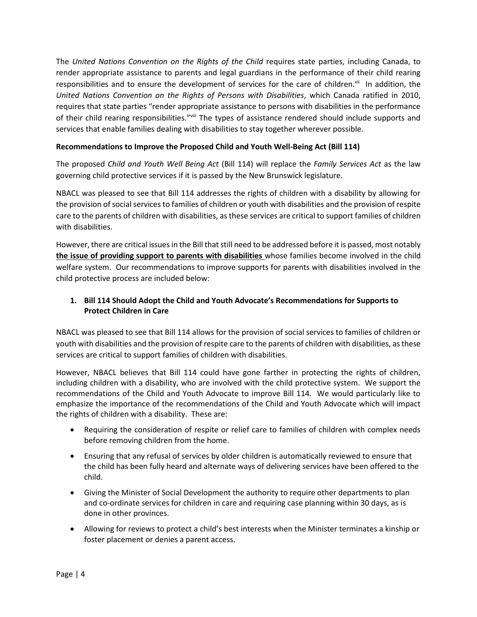The *United Nations Convention on the Rights of the Child* requires state parties, including Canada, to render appropriate assistance to parents and legal guardians in the performance of their child rearing responsibilities and to ensure the development of services for the care of children.<sup>vii</sup> In addition, the *United Nations Convention on the Rights of Persons with Disabilities*, which Canada ratified in 2010, requires that state parties "render appropriate assistance to persons with disabilities in the performance of their child rearing responsibilities."viii The types of assistance rendered should include supports and services that enable families dealing with disabilities to stay together wherever possible.

#### **Recommendations to Improve the Proposed Child and Youth Well-Being Act (Bill 114)**

The proposed *Child and Youth Well Being Act* (Bill 114) will replace the *Family Services Act* as the law governing child protective services if it is passed by the New Brunswick legislature.

NBACL was pleased to see that Bill 114 addresses the rights of children with a disability by allowing for the provision of social services to families of children or youth with disabilities and the provision of respite care to the parents of children with disabilities, as these services are critical to support families of children with disabilities.

However, there are critical issues in the Bill that still need to be addressed before it is passed, most notably **the issue of providing support to parents with disabilities** whose families become involved in the child welfare system. Our recommendations to improve supports for parents with disabilities involved in the child protective process are included below:

# **1. Bill 114 Should Adopt the Child and Youth Advocate's Recommendations for Supports to Protect Children in Care**

NBACL was pleased to see that Bill 114 allows for the provision of social services to families of children or youth with disabilities and the provision of respite care to the parents of children with disabilities, as these services are critical to support families of children with disabilities.

However, NBACL believes that Bill 114 could have gone farther in protecting the rights of children, including children with a disability, who are involved with the child protective system. We support the recommendations of the Child and Youth Advocate to improve Bill 114. We would particularly like to emphasize the importance of the recommendations of the Child and Youth Advocate which will impact the rights of children with a disability. These are:

- Requiring the consideration of respite or relief care to families of children with complex needs before removing children from the home.
- Ensuring that any refusal of services by older children is automatically reviewed to ensure that the child has been fully heard and alternate ways of delivering services have been offered to the child.
- Giving the Minister of Social Development the authority to require other departments to plan and co-ordinate services for children in care and requiring case planning within 30 days, as is done in other provinces.
- Allowing for reviews to protect a child's best interests when the Minister terminates a kinship or foster placement or denies a parent access.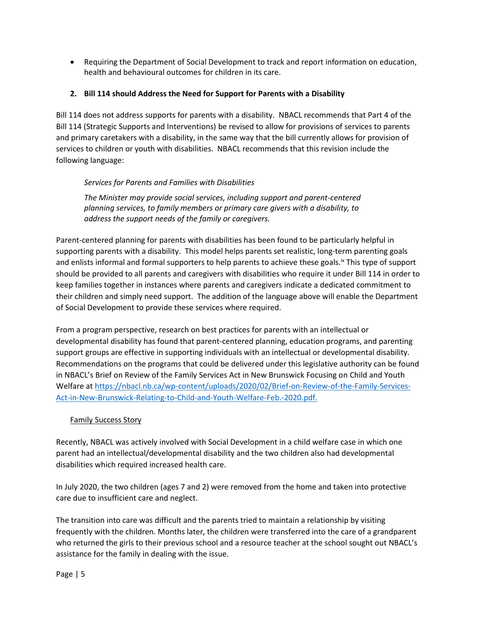• Requiring the Department of Social Development to track and report information on education, health and behavioural outcomes for children in its care.

## **2. Bill 114 should Address the Need for Support for Parents with a Disability**

Bill 114 does not address supports for parents with a disability. NBACL recommends that Part 4 of the Bill 114 (Strategic Supports and Interventions) be revised to allow for provisions of services to parents and primary caretakers with a disability, in the same way that the bill currently allows for provision of services to children or youth with disabilities. NBACL recommends that this revision include the following language:

## *Services for Parents and Families with Disabilities*

*The Minister may provide social services, including support and parent-centered planning services, to family members or primary care givers with a disability, to address the support needs of the family or caregivers.* 

Parent-centered planning for parents with disabilities has been found to be particularly helpful in supporting parents with a disability. This model helps parents set realistic, long-term parenting goals and enlists informal and formal supporters to help parents to achieve these goals.<sup>Ix</sup> This type of support should be provided to all parents and caregivers with disabilities who require it under Bill 114 in order to keep families together in instances where parents and caregivers indicate a dedicated commitment to their children and simply need support. The addition of the language above will enable the Department of Social Development to provide these services where required.

From a program perspective, research on best practices for parents with an intellectual or developmental disability has found that parent-centered planning, education programs, and parenting support groups are effective in supporting individuals with an intellectual or developmental disability. Recommendations on the programs that could be delivered under this legislative authority can be found in NBACL's Brief on Review of the Family Services Act in New Brunswick Focusing on Child and Youth Welfare a[t https://nbacl.nb.ca/wp-content/uploads/2020/02/Brief-on-Review-of-the-Family-Services-](https://nbacl.nb.ca/wp-content/uploads/2020/02/Brief-on-Review-of-the-Family-Services-Act-in-New-Brunswick-Relating-to-Child-and-Youth-Welfare-Feb.-2020.pdf)[Act-in-New-Brunswick-Relating-to-Child-and-Youth-Welfare-Feb.-2020.pdf.](https://nbacl.nb.ca/wp-content/uploads/2020/02/Brief-on-Review-of-the-Family-Services-Act-in-New-Brunswick-Relating-to-Child-and-Youth-Welfare-Feb.-2020.pdf)

## Family Success Story

Recently, NBACL was actively involved with Social Development in a child welfare case in which one parent had an intellectual/developmental disability and the two children also had developmental disabilities which required increased health care.

In July 2020, the two children (ages 7 and 2) were removed from the home and taken into protective care due to insufficient care and neglect.

The transition into care was difficult and the parents tried to maintain a relationship by visiting frequently with the children. Months later, the children were transferred into the care of a grandparent who returned the girls to their previous school and a resource teacher at the school sought out NBACL's assistance for the family in dealing with the issue.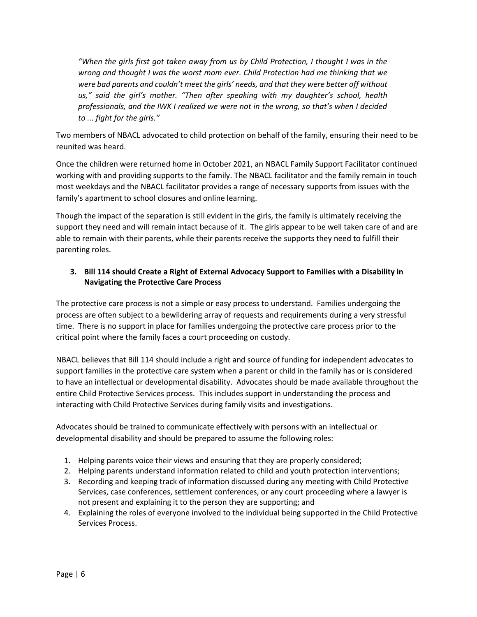*"When the girls first got taken away from us by Child Protection, I thought I was in the wrong and thought I was the worst mom ever. Child Protection had me thinking that we were bad parents and couldn't meet the girls' needs, and that they were better off without us," said the girl's mother. "Then after speaking with my daughter's school, health professionals, and the IWK I realized we were not in the wrong, so that's when I decided to ... fight for the girls."*

Two members of NBACL advocated to child protection on behalf of the family, ensuring their need to be reunited was heard.

Once the children were returned home in October 2021, an NBACL Family Support Facilitator continued working with and providing supports to the family. The NBACL facilitator and the family remain in touch most weekdays and the NBACL facilitator provides a range of necessary supports from issues with the family's apartment to school closures and online learning.

Though the impact of the separation is still evident in the girls, the family is ultimately receiving the support they need and will remain intact because of it. The girls appear to be well taken care of and are able to remain with their parents, while their parents receive the supports they need to fulfill their parenting roles.

# **3. Bill 114 should Create a Right of External Advocacy Support to Families with a Disability in Navigating the Protective Care Process**

The protective care process is not a simple or easy process to understand. Families undergoing the process are often subject to a bewildering array of requests and requirements during a very stressful time. There is no support in place for families undergoing the protective care process prior to the critical point where the family faces a court proceeding on custody.

NBACL believes that Bill 114 should include a right and source of funding for independent advocates to support families in the protective care system when a parent or child in the family has or is considered to have an intellectual or developmental disability. Advocates should be made available throughout the entire Child Protective Services process. This includes support in understanding the process and interacting with Child Protective Services during family visits and investigations.

Advocates should be trained to communicate effectively with persons with an intellectual or developmental disability and should be prepared to assume the following roles:

- 1. Helping parents voice their views and ensuring that they are properly considered;
- 2. Helping parents understand information related to child and youth protection interventions;
- 3. Recording and keeping track of information discussed during any meeting with Child Protective Services, case conferences, settlement conferences, or any court proceeding where a lawyer is not present and explaining it to the person they are supporting; and
- 4. Explaining the roles of everyone involved to the individual being supported in the Child Protective Services Process.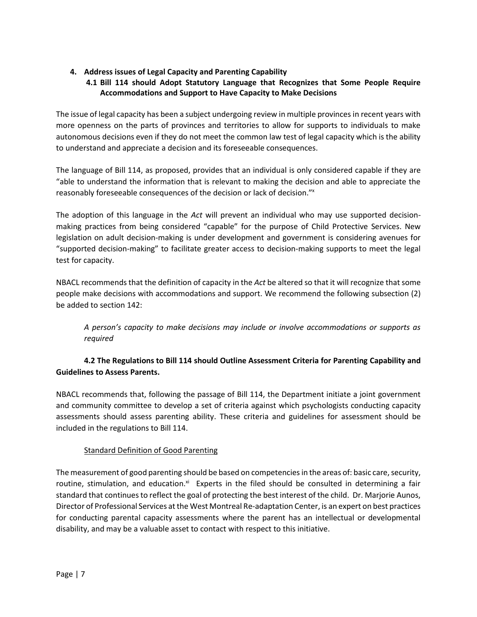## **4. Address issues of Legal Capacity and Parenting Capability**

# **4.1 Bill 114 should Adopt Statutory Language that Recognizes that Some People Require Accommodations and Support to Have Capacity to Make Decisions**

The issue of legal capacity has been a subject undergoing review in multiple provinces in recent years with more openness on the parts of provinces and territories to allow for supports to individuals to make autonomous decisions even if they do not meet the common law test of legal capacity which is the ability to understand and appreciate a decision and its foreseeable consequences.

The language of Bill 114, as proposed, provides that an individual is only considered capable if they are "able to understand the information that is relevant to making the decision and able to appreciate the reasonably foreseeable consequences of the decision or lack of decision." x

The adoption of this language in the *Act* will prevent an individual who may use supported decisionmaking practices from being considered "capable" for the purpose of Child Protective Services. New legislation on adult decision-making is under development and government is considering avenues for "supported decision-making" to facilitate greater access to decision-making supports to meet the legal test for capacity.

NBACL recommends that the definition of capacity in the *Act* be altered so that it will recognize that some people make decisions with accommodations and support. We recommend the following subsection (2) be added to section 142:

*A person's capacity to make decisions may include or involve accommodations or supports as required*

# **4.2 The Regulations to Bill 114 should Outline Assessment Criteria for Parenting Capability and Guidelines to Assess Parents.**

NBACL recommends that, following the passage of Bill 114, the Department initiate a joint government and community committee to develop a set of criteria against which psychologists conducting capacity assessments should assess parenting ability. These criteria and guidelines for assessment should be included in the regulations to Bill 114.

## Standard Definition of Good Parenting

The measurement of good parenting should be based on competencies in the areas of: basic care, security, routine, stimulation, and education.<sup>xi</sup> Experts in the filed should be consulted in determining a fair standard that continues to reflect the goal of protecting the best interest of the child. Dr. Marjorie Aunos, Director of Professional Services at the West Montreal Re-adaptation Center, is an expert on best practices for conducting parental capacity assessments where the parent has an intellectual or developmental disability, and may be a valuable asset to contact with respect to this initiative.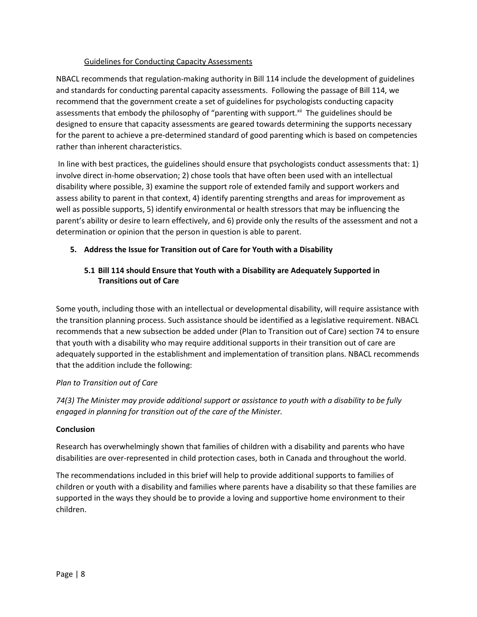#### Guidelines for Conducting Capacity Assessments

NBACL recommends that regulation-making authority in Bill 114 include the development of guidelines and standards for conducting parental capacity assessments. Following the passage of Bill 114, we recommend that the government create a set of guidelines for psychologists conducting capacity assessments that embody the philosophy of "parenting with support.<sup>xii</sup> The guidelines should be designed to ensure that capacity assessments are geared towards determining the supports necessary for the parent to achieve a pre-determined standard of good parenting which is based on competencies rather than inherent characteristics.

In line with best practices, the guidelines should ensure that psychologists conduct assessments that: 1) involve direct in-home observation; 2) chose tools that have often been used with an intellectual disability where possible, 3) examine the support role of extended family and support workers and assess ability to parent in that context, 4) identify parenting strengths and areas for improvement as well as possible supports, 5) identify environmental or health stressors that may be influencing the parent's ability or desire to learn effectively, and 6) provide only the results of the assessment and not a determination or opinion that the person in question is able to parent.

## **5. Address the Issue for Transition out of Care for Youth with a Disability**

## **5.1 Bill 114 should Ensure that Youth with a Disability are Adequately Supported in Transitions out of Care**

Some youth, including those with an intellectual or developmental disability, will require assistance with the transition planning process. Such assistance should be identified as a legislative requirement. NBACL recommends that a new subsection be added under (Plan to Transition out of Care) section 74 to ensure that youth with a disability who may require additional supports in their transition out of care are adequately supported in the establishment and implementation of transition plans. NBACL recommends that the addition include the following:

#### *Plan to Transition out of Care*

*74(3) The Minister may provide additional support or assistance to youth with a disability to be fully engaged in planning for transition out of the care of the Minister.*

#### **Conclusion**

Research has overwhelmingly shown that families of children with a disability and parents who have disabilities are over-represented in child protection cases, both in Canada and throughout the world.

The recommendations included in this brief will help to provide additional supports to families of children or youth with a disability and families where parents have a disability so that these families are supported in the ways they should be to provide a loving and supportive home environment to their children.